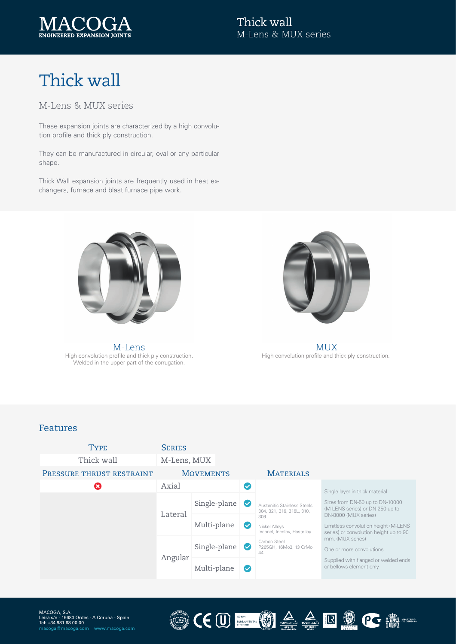

# Thick wall

### M-Lens & MUX series

These expansion joints are characterized by a high convolution profile and thick ply construction.

They can be manufactured in circular, oval or any particular shape.

Thick Wall expansion joints are frequently used in heat exchangers, furnace and blast furnace pipe work.



High convolution profile and thick ply construction. Welded in the upper part of the corrugation. M-Lens MUX



High convolution profile and thick ply construction.

CEU EN EN LA LEU COMPRE

#### Features



LUM)